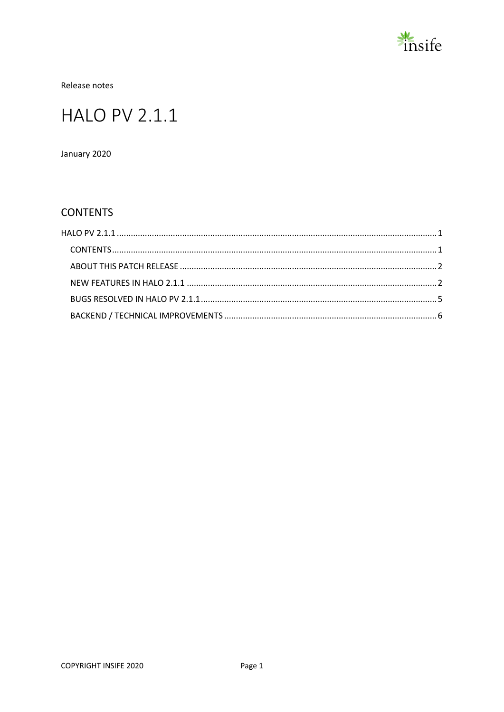

Release notes

# <span id="page-0-0"></span>**HALO PV 2.1.1**

January 2020

### <span id="page-0-1"></span>**CONTENTS**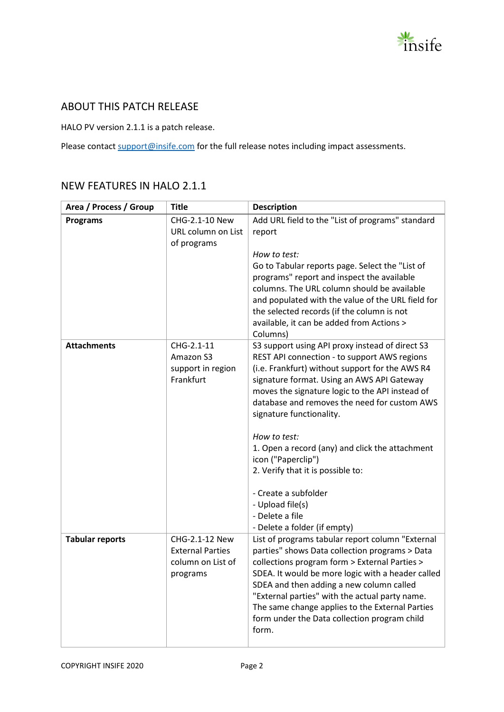

#### <span id="page-1-0"></span>ABOUT THIS PATCH RELEASE

HALO PV version 2.1.1 is a patch release.

Please contact [support@insife.com](mailto:support@insife.com) for the full release notes including impact assessments.

#### <span id="page-1-1"></span>NEW FEATURES IN HALO 2.1.1

| Area / Process / Group | <b>Title</b>                                                               | <b>Description</b>                                                                                                                                                                                                                                                                                                                                                                                                                                                                                                                                           |
|------------------------|----------------------------------------------------------------------------|--------------------------------------------------------------------------------------------------------------------------------------------------------------------------------------------------------------------------------------------------------------------------------------------------------------------------------------------------------------------------------------------------------------------------------------------------------------------------------------------------------------------------------------------------------------|
| <b>Programs</b>        | CHG-2.1-10 New<br>URL column on List<br>of programs                        | Add URL field to the "List of programs" standard<br>report                                                                                                                                                                                                                                                                                                                                                                                                                                                                                                   |
|                        |                                                                            | How to test:<br>Go to Tabular reports page. Select the "List of<br>programs" report and inspect the available<br>columns. The URL column should be available<br>and populated with the value of the URL field for<br>the selected records (if the column is not<br>available, it can be added from Actions ><br>Columns)                                                                                                                                                                                                                                     |
| <b>Attachments</b>     | CHG-2.1-11<br>Amazon S3<br>support in region<br>Frankfurt                  | S3 support using API proxy instead of direct S3<br>REST API connection - to support AWS regions<br>(i.e. Frankfurt) without support for the AWS R4<br>signature format. Using an AWS API Gateway<br>moves the signature logic to the API instead of<br>database and removes the need for custom AWS<br>signature functionality.<br>How to test:<br>1. Open a record (any) and click the attachment<br>icon ("Paperclip")<br>2. Verify that it is possible to:<br>- Create a subfolder<br>- Upload file(s)<br>- Delete a file<br>- Delete a folder (if empty) |
| <b>Tabular reports</b> | CHG-2.1-12 New<br><b>External Parties</b><br>column on List of<br>programs | List of programs tabular report column "External<br>parties" shows Data collection programs > Data<br>collections program form > External Parties ><br>SDEA. It would be more logic with a header called<br>SDEA and then adding a new column called<br>"External parties" with the actual party name.<br>The same change applies to the External Parties<br>form under the Data collection program child<br>form.                                                                                                                                           |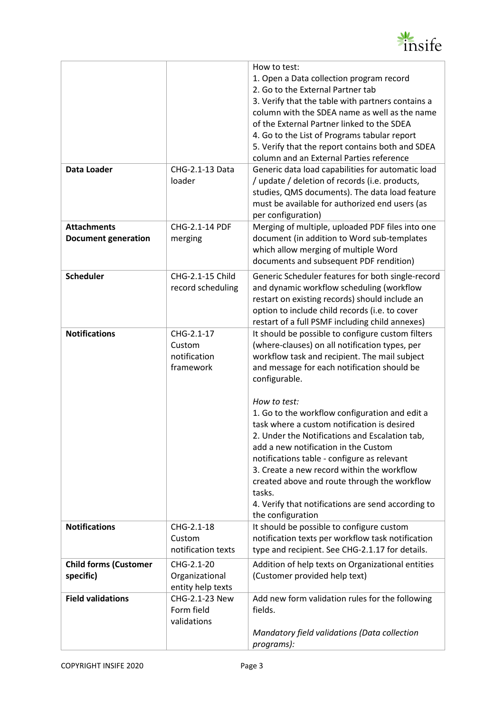

|                              |                        | How to test:                                                 |
|------------------------------|------------------------|--------------------------------------------------------------|
|                              |                        | 1. Open a Data collection program record                     |
|                              |                        | 2. Go to the External Partner tab                            |
|                              |                        | 3. Verify that the table with partners contains a            |
|                              |                        | column with the SDEA name as well as the name                |
|                              |                        | of the External Partner linked to the SDEA                   |
|                              |                        | 4. Go to the List of Programs tabular report                 |
|                              |                        | 5. Verify that the report contains both and SDEA             |
|                              |                        | column and an External Parties reference                     |
| <b>Data Loader</b>           | CHG-2.1-13 Data        | Generic data load capabilities for automatic load            |
|                              | loader                 | / update / deletion of records (i.e. products,               |
|                              |                        | studies, QMS documents). The data load feature               |
|                              |                        | must be available for authorized end users (as               |
|                              |                        | per configuration)                                           |
| <b>Attachments</b>           | CHG-2.1-14 PDF         | Merging of multiple, uploaded PDF files into one             |
| <b>Document generation</b>   | merging                | document (in addition to Word sub-templates                  |
|                              |                        | which allow merging of multiple Word                         |
|                              |                        | documents and subsequent PDF rendition)                      |
| <b>Scheduler</b>             | CHG-2.1-15 Child       | Generic Scheduler features for both single-record            |
|                              | record scheduling      | and dynamic workflow scheduling (workflow                    |
|                              |                        | restart on existing records) should include an               |
|                              |                        |                                                              |
|                              |                        | option to include child records (i.e. to cover               |
| <b>Notifications</b>         | CHG-2.1-17             | restart of a full PSMF including child annexes)              |
|                              |                        | It should be possible to configure custom filters            |
|                              | Custom<br>notification | (where-clauses) on all notification types, per               |
|                              | framework              | workflow task and recipient. The mail subject                |
|                              |                        | and message for each notification should be<br>configurable. |
|                              |                        |                                                              |
|                              |                        | How to test:                                                 |
|                              |                        | 1. Go to the workflow configuration and edit a               |
|                              |                        | task where a custom notification is desired                  |
|                              |                        | 2. Under the Notifications and Escalation tab,               |
|                              |                        | add a new notification in the Custom                         |
|                              |                        | notifications table - configure as relevant                  |
|                              |                        | 3. Create a new record within the workflow                   |
|                              |                        | created above and route through the workflow                 |
|                              |                        | tasks.                                                       |
|                              |                        | 4. Verify that notifications are send according to           |
|                              |                        | the configuration                                            |
| <b>Notifications</b>         | CHG-2.1-18             | It should be possible to configure custom                    |
|                              | Custom                 | notification texts per workflow task notification            |
|                              | notification texts     | type and recipient. See CHG-2.1.17 for details.              |
|                              |                        |                                                              |
| <b>Child forms (Customer</b> | CHG-2.1-20             | Addition of help texts on Organizational entities            |
| specific)                    | Organizational         | (Customer provided help text)                                |
|                              | entity help texts      |                                                              |
| <b>Field validations</b>     | CHG-2.1-23 New         | Add new form validation rules for the following              |
|                              | Form field             | fields.                                                      |
|                              | validations            |                                                              |
|                              |                        | Mandatory field validations (Data collection<br>programs):   |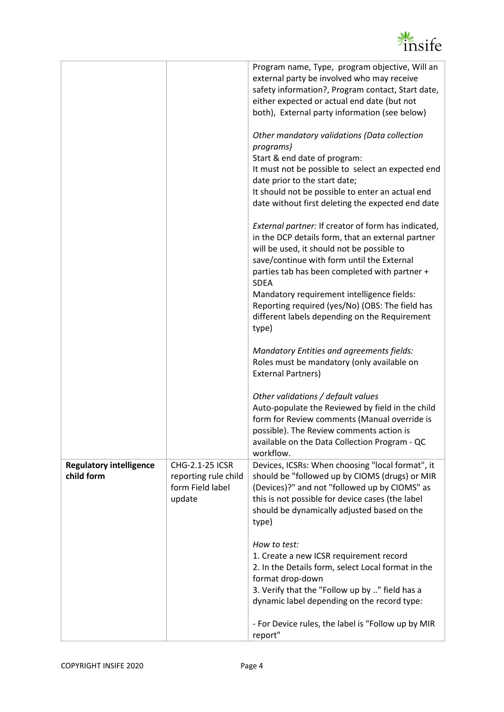

|                                              |                                                                              | Program name, Type, program objective, Will an<br>external party be involved who may receive<br>safety information?, Program contact, Start date,<br>either expected or actual end date (but not<br>both), External party information (see below)                                                                                                                                                                               |
|----------------------------------------------|------------------------------------------------------------------------------|---------------------------------------------------------------------------------------------------------------------------------------------------------------------------------------------------------------------------------------------------------------------------------------------------------------------------------------------------------------------------------------------------------------------------------|
|                                              |                                                                              | Other mandatory validations (Data collection<br>programs)<br>Start & end date of program:<br>It must not be possible to select an expected end<br>date prior to the start date;<br>It should not be possible to enter an actual end<br>date without first deleting the expected end date                                                                                                                                        |
|                                              |                                                                              | External partner: If creator of form has indicated,<br>in the DCP details form, that an external partner<br>will be used, it should not be possible to<br>save/continue with form until the External<br>parties tab has been completed with partner +<br><b>SDEA</b><br>Mandatory requirement intelligence fields:<br>Reporting required (yes/No) (OBS: The field has<br>different labels depending on the Requirement<br>type) |
|                                              |                                                                              | Mandatory Entities and agreements fields:<br>Roles must be mandatory (only available on<br><b>External Partners)</b>                                                                                                                                                                                                                                                                                                            |
|                                              |                                                                              | Other validations / default values<br>Auto-populate the Reviewed by field in the child<br>form for Review comments (Manual override is<br>possible). The Review comments action is<br>available on the Data Collection Program - QC<br>workflow.                                                                                                                                                                                |
| <b>Regulatory intelligence</b><br>child form | <b>CHG-2.1-25 ICSR</b><br>reporting rule child<br>form Field label<br>update | Devices, ICSRs: When choosing "local format", it<br>should be "followed up by CIOMS (drugs) or MIR<br>(Devices)?" and not "followed up by CIOMS" as<br>this is not possible for device cases (the label<br>should be dynamically adjusted based on the<br>type)                                                                                                                                                                 |
|                                              |                                                                              | How to test:<br>1. Create a new ICSR requirement record<br>2. In the Details form, select Local format in the<br>format drop-down<br>3. Verify that the "Follow up by " field has a<br>dynamic label depending on the record type:<br>- For Device rules, the label is "Follow up by MIR<br>report"                                                                                                                             |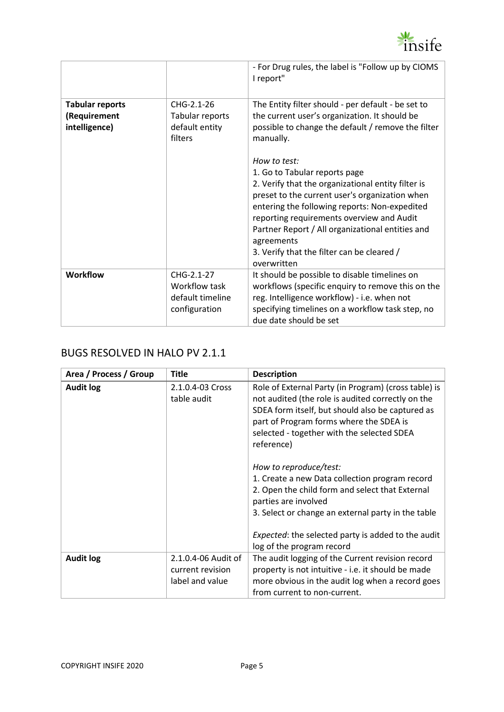

|                                                         |                                                                  | - For Drug rules, the label is "Follow up by CIOMS<br>I report"                                                                                                                                                                                                                                                                                                                                                                                                                   |
|---------------------------------------------------------|------------------------------------------------------------------|-----------------------------------------------------------------------------------------------------------------------------------------------------------------------------------------------------------------------------------------------------------------------------------------------------------------------------------------------------------------------------------------------------------------------------------------------------------------------------------|
| <b>Tabular reports</b><br>(Requirement<br>intelligence) | CHG-2.1-26<br>Tabular reports<br>default entity<br>filters       | The Entity filter should - per default - be set to<br>the current user's organization. It should be<br>possible to change the default / remove the filter<br>manually.<br>How to test:<br>1. Go to Tabular reports page<br>2. Verify that the organizational entity filter is<br>preset to the current user's organization when<br>entering the following reports: Non-expedited<br>reporting requirements overview and Audit<br>Partner Report / All organizational entities and |
|                                                         |                                                                  | agreements<br>3. Verify that the filter can be cleared /<br>overwritten                                                                                                                                                                                                                                                                                                                                                                                                           |
| <b>Workflow</b>                                         | CHG-2.1-27<br>Workflow task<br>default timeline<br>configuration | It should be possible to disable timelines on<br>workflows (specific enquiry to remove this on the<br>reg. Intelligence workflow) - i.e. when not<br>specifying timelines on a workflow task step, no<br>due date should be set                                                                                                                                                                                                                                                   |

#### <span id="page-4-0"></span>BUGS RESOLVED IN HALO PV 2.1.1

| Area / Process / Group | <b>Title</b>                                               | <b>Description</b>                                                                                                                                                                                                                                                     |
|------------------------|------------------------------------------------------------|------------------------------------------------------------------------------------------------------------------------------------------------------------------------------------------------------------------------------------------------------------------------|
| <b>Audit log</b>       | 2.1.0.4-03 Cross<br>table audit                            | Role of External Party (in Program) (cross table) is<br>not audited (the role is audited correctly on the<br>SDEA form itself, but should also be captured as<br>part of Program forms where the SDEA is<br>selected - together with the selected SDEA<br>reference)   |
|                        |                                                            | How to reproduce/test:<br>1. Create a new Data collection program record<br>2. Open the child form and select that External<br>parties are involved<br>3. Select or change an external party in the table<br><i>Expected:</i> the selected party is added to the audit |
| <b>Audit log</b>       | 2.1.0.4-06 Audit of<br>current revision<br>label and value | log of the program record<br>The audit logging of the Current revision record<br>property is not intuitive - i.e. it should be made<br>more obvious in the audit log when a record goes<br>from current to non-current.                                                |